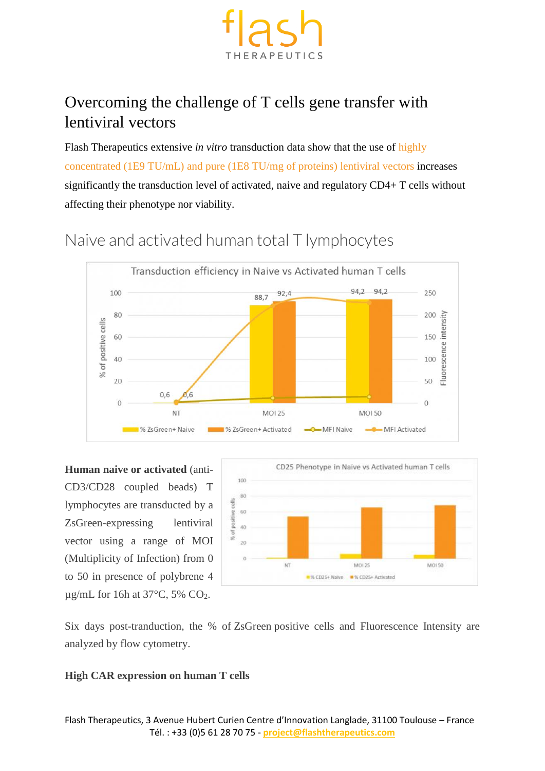

## Overcoming the challenge of T cells gene transfer with lentiviral vectors

Flash Therapeutics extensive *in vitro* transduction data show that the use of [highly](https://www.vectalys.com/custom-lentiviral-vectors/)  [concentrated \(1E9 TU/mL\) and pure \(1E8 TU/mg of proteins\) lentiviral vectors](https://www.vectalys.com/custom-lentiviral-vectors/) increases significantly the transduction level of activated, naive and regulatory CD4+ T cells without affecting their phenotype nor viability.



# Naive and activated human total T lymphocytes

**Human naive or activated** (anti-CD3/CD28 coupled beads) T lymphocytes are transducted by a ZsGreen-expressing lentiviral vector using a range of MOI (Multiplicity of Infection) from 0 to 50 in presence of polybrene 4  $\mu$ g/mL for 16h at 37°C, 5% CO<sub>2</sub>.



Six days post-tranduction, the % of ZsGreen positive cells and Fluorescence Intensity are analyzed by flow cytometry.

#### **High CAR expression on human T cells**

Flash Therapeutics, 3 Avenue Hubert Curien Centre d'Innovation Langlade, 31100 Toulouse – France Tél. : +33 (0)5 61 28 70 75 - **project@flashtherapeutics.com**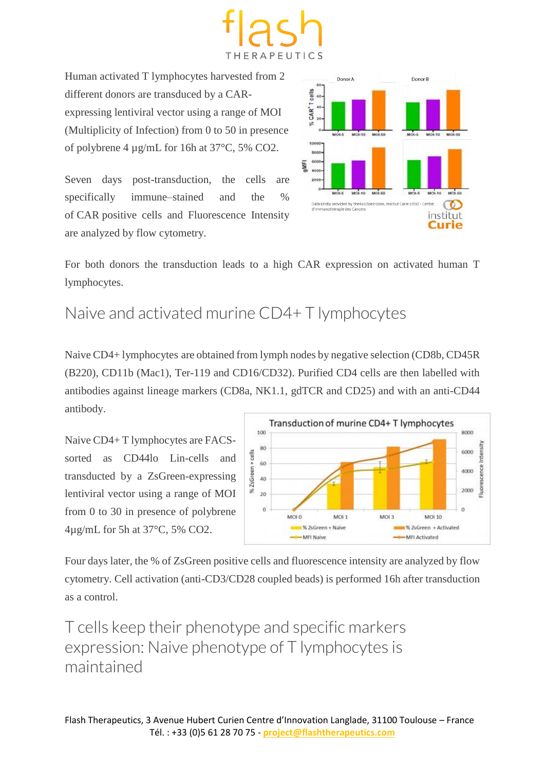

Human activated T lymphocytes harvested from 2 different donors are transduced by a CARexpressing lentiviral vector using a range of MOI (Multiplicity of Infection) from 0 to 50 in presence of polybrene 4 µg/mL for 16h at 37°C, 5% CO2.

Seven days post-transduction, the cells are specifically immune–stained and the % of CAR positive cells and Fluorescence Intensity are analyzed by flow cytometry.



For both donors the transduction leads to a high CAR expression on activated human T lymphocytes.

## Naive and activated murine CD4+ T lymphocytes

Naive CD4+ lymphocytes are obtained from lymph nodes by negative selection (CD8b, CD45R (B220), CD11b (Mac1), Ter-119 and CD16/CD32). Purified CD4 cells are then labelled with antibodies against lineage markers (CD8a, NK1.1, gdTCR and CD25) and with an anti-CD44 antibody.

Naive CD4+ T lymphocytes are FACSsorted as CD44lo Lin-cells and transducted by a ZsGreen-expressing lentiviral vector using a range of MOI from 0 to 30 in presence of polybrene 4µg/mL for 5h at 37°C, 5% CO2.



Four days later, the % of ZsGreen positive cells and fluorescence intensity are analyzed by flow cytometry. Cell activation (anti-CD3/CD28 coupled beads) is performed 16h after transduction as a control.

T cells keep their phenotype and specific markers expression: Naive phenotype of T lymphocytes is maintained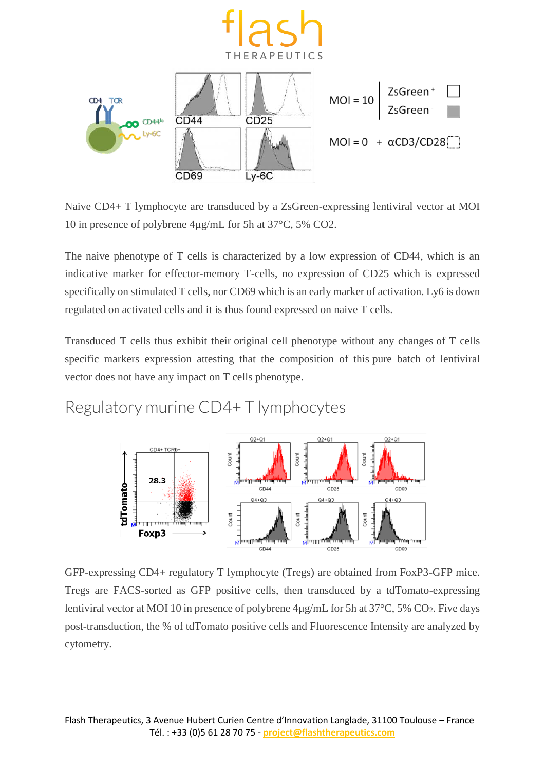

Naive CD4+ T lymphocyte are transduced by a ZsGreen-expressing lentiviral vector at MOI 10 in presence of polybrene 4µg/mL for 5h at 37°C, 5% CO2.

The naive phenotype of T cells is characterized by a low expression of CD44, which is an indicative marker for effector-memory T-cells, no expression of CD25 which is expressed specifically on stimulated T cells, nor CD69 which is an early marker of activation. Ly6 is down regulated on activated cells and it is thus found expressed on naive T cells.

Transduced T cells thus exhibit their original cell phenotype without any changes of T cells specific markers expression attesting that the composition of this pure batch of lentiviral vector does not have any impact on T cells phenotype.

Regulatory murine CD4+ T lymphocytes



GFP-expressing CD4+ regulatory T lymphocyte (Tregs) are obtained from FoxP3-GFP mice. Tregs are FACS-sorted as GFP positive cells, then transduced by a tdTomato-expressing lentiviral vector at MOI 10 in presence of polybrene  $4\mu$ g/mL for 5h at 37°C, 5% CO<sub>2</sub>. Five days post-transduction, the % of tdTomato positive cells and Fluorescence Intensity are analyzed by cytometry.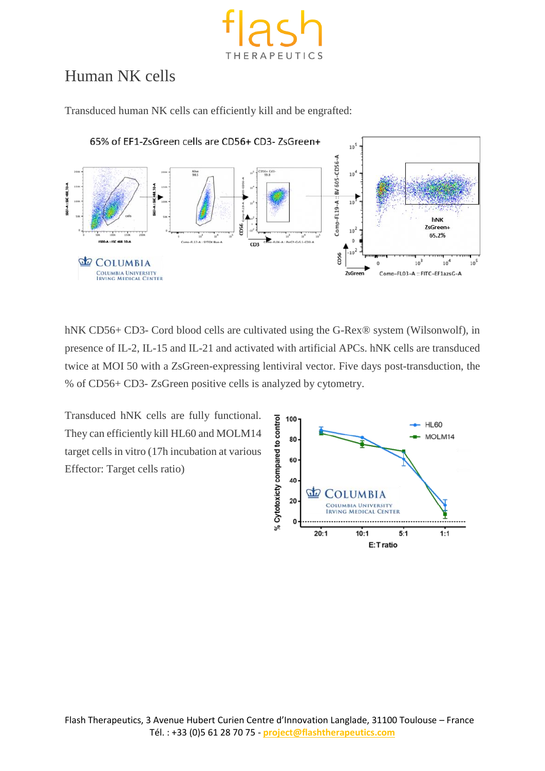

## Human NK cells

Transduced human NK cells can efficiently kill and be engrafted:



hNK CD56+ CD3- Cord blood cells are cultivated using the G-Rex® system (Wilsonwolf), in presence of IL-2, IL-15 and IL-21 and activated with artificial APCs. hNK cells are transduced twice at MOI 50 with a ZsGreen-expressing lentiviral vector. Five days post-transduction, the % of CD56+ CD3- ZsGreen positive cells is analyzed by cytometry.

Transduced hNK cells are fully functional. They can efficiently kill HL60 and MOLM14 target cells in vitro (17h incubation at various Effector: Target cells ratio)